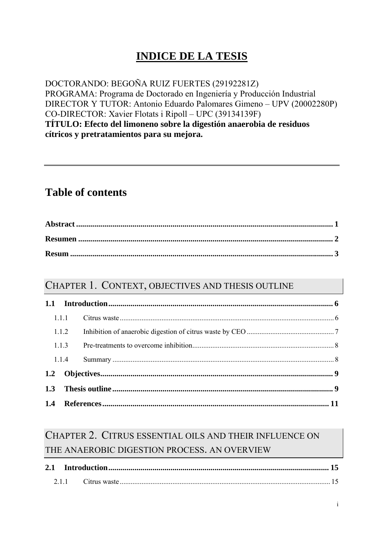## **INDICE DE LA TESIS**

DOCTORANDO: BEGOÑA RUIZ FUERTES (29192281Z) PROGRAMA: Programa de Doctorado en Ingeniería y Producción Industrial DIRECTOR Y TUTOR: Antonio Eduardo Palomares Gimeno – UPV (20002280P) CO-DIRECTOR: Xavier Flotats i Ripoll – UPC (39134139F) **TÍTULO: Efecto del limoneno sobre la digestión anaerobia de residuos cítricos y pretratamientos para su mejora.** 

#### **Table of contents**

#### CHAPTER 1. CONTEXT, OBJECTIVES AND THESIS OUTLINE

| 1.1.1 |  |  |
|-------|--|--|
| 1.1.2 |  |  |
| 1.1.3 |  |  |
| 1.1.4 |  |  |
|       |  |  |
| 1.3   |  |  |
|       |  |  |

#### CHAPTER 2. CITRUS ESSENTIAL OILS AND THEIR INFLUENCE ON THE ANAEROBIC DIGESTION PROCESS. AN OVERVIEW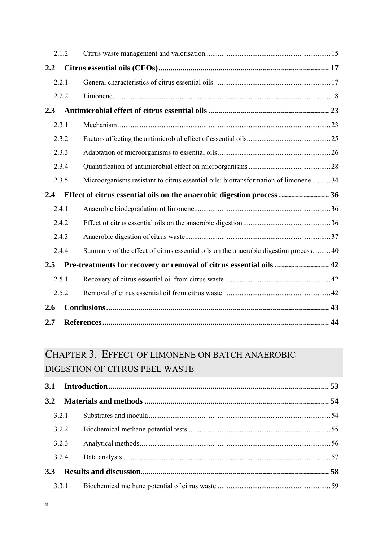|               | 2.1.2 |                                                                                      |  |
|---------------|-------|--------------------------------------------------------------------------------------|--|
| 2.2           |       |                                                                                      |  |
|               | 2.2.1 |                                                                                      |  |
|               | 2.2.2 |                                                                                      |  |
| 2.3           |       |                                                                                      |  |
|               | 2.3.1 |                                                                                      |  |
|               | 2.3.2 |                                                                                      |  |
|               | 2.3.3 |                                                                                      |  |
|               | 2.3.4 |                                                                                      |  |
|               | 2.3.5 | Microorganisms resistant to citrus essential oils: biotransformation of limonene  34 |  |
|               |       |                                                                                      |  |
| 2.4           |       | Effect of citrus essential oils on the anaerobic digestion process  36               |  |
|               | 2.4.1 |                                                                                      |  |
|               | 2.4.2 |                                                                                      |  |
|               | 2.4.3 |                                                                                      |  |
|               | 2.4.4 | Summary of the effect of citrus essential oils on the anaerobic digestion process 40 |  |
| $2.5^{\circ}$ |       | Pre-treatments for recovery or removal of citrus essential oils  42                  |  |
|               | 2.5.1 |                                                                                      |  |
|               | 2.5.2 |                                                                                      |  |
| 2.6           |       |                                                                                      |  |

# CHAPTER 3. EFFECT OF LIMONENE ON BATCH ANAEROBIC DIGESTION OF CITRUS PEEL WASTE

| 3.2        |       |  |
|------------|-------|--|
|            | 3.2.1 |  |
|            | 3.2.2 |  |
|            | 3.2.3 |  |
|            | 3.2.4 |  |
| <b>3.3</b> |       |  |
|            | 3.3.1 |  |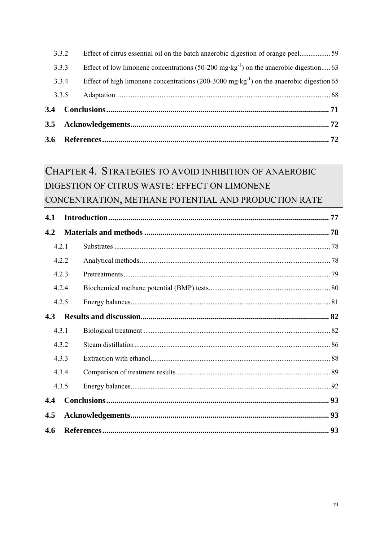| $3.4^{\circ}$ |       |                                                                                                      |  |
|---------------|-------|------------------------------------------------------------------------------------------------------|--|
|               | 3.3.5 |                                                                                                      |  |
|               | 3.3.4 | Effect of high limonene concentrations (200-3000 mg·kg <sup>-1</sup> ) on the anaerobic digestion 65 |  |
|               | 3.3.3 | Effect of low limonene concentrations (50-200 mg·kg <sup>-1</sup> ) on the anaerobic digestion 63    |  |
|               | 3.3.2 |                                                                                                      |  |

# CHAPTER 4. STRATEGIES TO AVOID INHIBITION OF ANAEROBIC DIGESTION OF CITRUS WASTE: EFFECT ON LIMONENE CONCENTRATION, METHANE POTENTIAL AND PRODUCTION RATE

| 4.1   |       |  |
|-------|-------|--|
| 4.2   |       |  |
| 4.2.1 |       |  |
|       | 4.2.2 |  |
| 4.2.3 |       |  |
| 4.2.4 |       |  |
| 4.2.5 |       |  |
| 4.3   |       |  |
| 4.3.1 |       |  |
| 4.3.2 |       |  |
| 4.3.3 |       |  |
| 4.3.4 |       |  |
| 4.3.5 |       |  |
| 4.4   |       |  |
| 4.5   |       |  |
| 4.6   |       |  |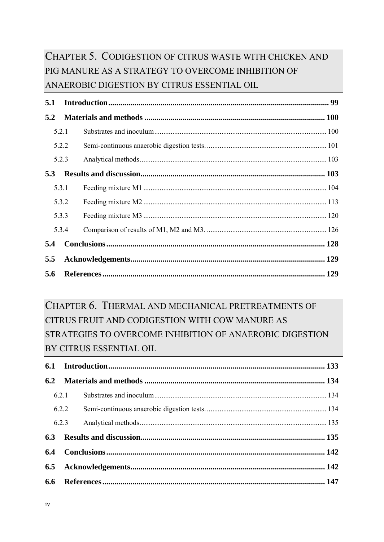### CHAPTER 5. CODIGESTION OF CITRUS WASTE WITH CHICKEN AND PIG MANURE AS A STRATEGY TO OVERCOME INHIBITION OF ANAEROBIC DIGESTION BY CITRUS ESSENTIAL OIL

| 5.1   |       |  |
|-------|-------|--|
| 5.2   |       |  |
| 5.2.1 |       |  |
|       | 5.2.2 |  |
| 5.2.3 |       |  |
| 5.3   |       |  |
| 5.3.1 |       |  |
|       | 5.3.2 |  |
|       | 5.3.3 |  |
| 5.3.4 |       |  |
| 5.4   |       |  |
| 5.5   |       |  |
| 5.6   |       |  |

### CHAPTER 6. THERMAL AND MECHANICAL PRETREATMENTS OF CITRUS FRUIT AND CODIGESTION WITH COW MANURE AS STRATEGIES TO OVERCOME INHIBITION OF ANAEROBIC DIGESTION BY CITRUS ESSENTIAL OIL

| 6.2.1 |  |
|-------|--|
| 6.2.2 |  |
| 6.2.3 |  |
|       |  |
|       |  |
|       |  |
|       |  |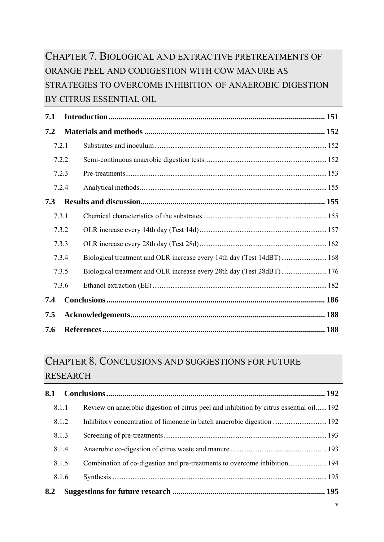### CHAPTER 7. BIOLOGICAL AND EXTRACTIVE PRETREATMENTS OF ORANGE PEEL AND CODIGESTION WITH COW MANURE AS STRATEGIES TO OVERCOME INHIBITION OF ANAEROBIC DIGESTION BY CITRUS ESSENTIAL OIL

| 7.1   |       |                                                                       |       |
|-------|-------|-----------------------------------------------------------------------|-------|
| 7.2   |       |                                                                       |       |
| 7.2.1 |       |                                                                       |       |
|       | 7.2.2 |                                                                       |       |
|       | 7.2.3 |                                                                       |       |
|       | 7.2.4 |                                                                       |       |
| 7.3   |       |                                                                       |       |
|       | 7.3.1 |                                                                       |       |
|       | 7.3.2 |                                                                       |       |
|       | 7.3.3 |                                                                       |       |
|       | 7.3.4 | Biological treatment and OLR increase every 14th day (Test 14dBT) 168 |       |
|       | 7.3.5 | Biological treatment and OLR increase every 28th day (Test 28dBT) 176 |       |
|       | 7.3.6 |                                                                       |       |
| 7.4   |       |                                                                       |       |
| 7.5   |       |                                                                       |       |
| 7.6   |       |                                                                       | . 188 |

#### CHAPTER 8. CONCLUSIONS AND SUGGESTIONS FOR FUTURE RESEARCH

| 8.1 |       |                                                                                         |  |
|-----|-------|-----------------------------------------------------------------------------------------|--|
|     | 8.1.1 | Review on anaerobic digestion of citrus peel and inhibition by citrus essential oil 192 |  |
|     | 8.1.2 |                                                                                         |  |
|     | 8.1.3 |                                                                                         |  |
|     | 8.1.4 |                                                                                         |  |
|     | 8.1.5 |                                                                                         |  |
|     | 8.1.6 |                                                                                         |  |
| 8.2 |       |                                                                                         |  |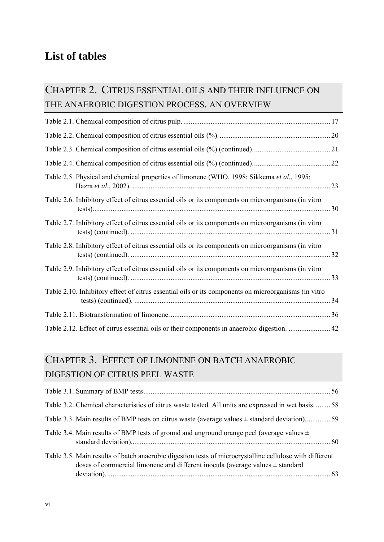### **List of tables**

#### CHAPTER 2. CITRUS ESSENTIAL OILS AND THEIR INFLUENCE ON THE ANAEROBIC DIGESTION PROCESS. AN OVERVIEW

| Table 2.5. Physical and chemical properties of limonene (WHO, 1998; Sikkema et al., 1995;            |    |
|------------------------------------------------------------------------------------------------------|----|
| Table 2.6. Inhibitory effect of citrus essential oils or its components on microorganisms (in vitro  |    |
| Table 2.7. Inhibitory effect of citrus essential oils or its components on microorganisms (in vitro  |    |
| Table 2.8. Inhibitory effect of citrus essential oils or its components on microorganisms (in vitro  |    |
| Table 2.9. Inhibitory effect of citrus essential oils or its components on microorganisms (in vitro  |    |
| Table 2.10. Inhibitory effect of citrus essential oils or its components on microorganisms (in vitro | 34 |
|                                                                                                      |    |
| Table 2.12. Effect of citrus essential oils or their components in anaerobic digestion.  42          |    |

### CHAPTER 3. EFFECT OF LIMONENE ON BATCH ANAEROBIC DIGESTION OF CITRUS PEEL WASTE

| Table 3.2. Chemical characteristics of citrus waste tested. All units are expressed in wet basis 58                                                                                          |  |
|----------------------------------------------------------------------------------------------------------------------------------------------------------------------------------------------|--|
| Table 3.3. Main results of BMP tests on citrus waste (average values $\pm$ standard deviation)59                                                                                             |  |
| Table 3.4. Main results of BMP tests of ground and unground orange peel (average values $\pm$                                                                                                |  |
| Table 3.5. Main results of batch anaerobic digestion tests of microcrystalline cellulose with different<br>doses of commercial limonene and different inocula (average values $\pm$ standard |  |
|                                                                                                                                                                                              |  |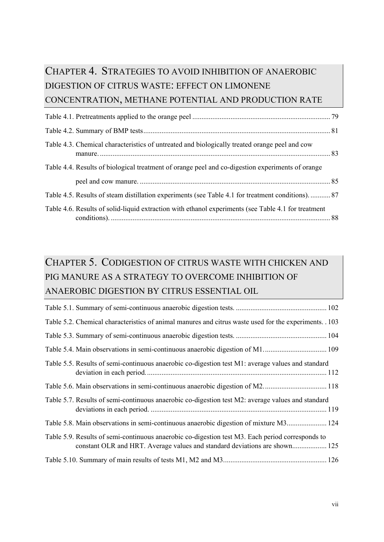### CHAPTER 4. STRATEGIES TO AVOID INHIBITION OF ANAEROBIC DIGESTION OF CITRUS WASTE: EFFECT ON LIMONENE CONCENTRATION, METHANE POTENTIAL AND PRODUCTION RATE

| Table 4.3. Chemical characteristics of untreated and biologically treated orange peel and cow       |  |
|-----------------------------------------------------------------------------------------------------|--|
| Table 4.4. Results of biological treatment of orange peel and co-digestion experiments of orange    |  |
|                                                                                                     |  |
| Table 4.5. Results of steam distillation experiments (see Table 4.1 for treatment conditions)87     |  |
| Table 4.6. Results of solid-liquid extraction with ethanol experiments (see Table 4.1 for treatment |  |

### CHAPTER 5. CODIGESTION OF CITRUS WASTE WITH CHICKEN AND PIG MANURE AS A STRATEGY TO OVERCOME INHIBITION OF ANAEROBIC DIGESTION BY CITRUS ESSENTIAL OIL

| Table 5.2. Chemical characteristics of animal manures and citrus waste used for the experiments. 103 |  |
|------------------------------------------------------------------------------------------------------|--|
|                                                                                                      |  |
|                                                                                                      |  |
| Table 5.5. Results of semi-continuous anaerobic co-digestion test M1: average values and standard    |  |
|                                                                                                      |  |
| Table 5.7. Results of semi-continuous anaerobic co-digestion test M2: average values and standard    |  |
| Table 5.8. Main observations in semi-continuous anaerobic digestion of mixture M3 124                |  |
| Table 5.9. Results of semi-continuous anaerobic co-digestion test M3. Each period corresponds to     |  |
|                                                                                                      |  |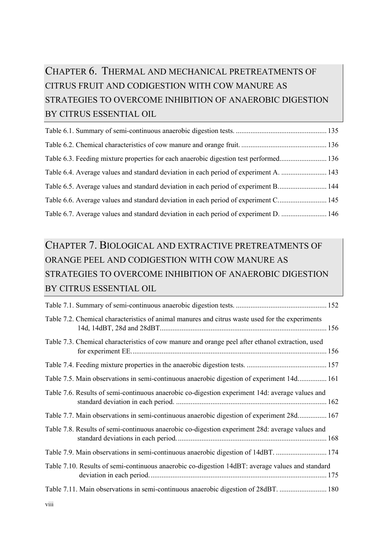### CHAPTER 6. THERMAL AND MECHANICAL PRETREATMENTS OF CITRUS FRUIT AND CODIGESTION WITH COW MANURE AS STRATEGIES TO OVERCOME INHIBITION OF ANAEROBIC DIGESTION BY CITRUS ESSENTIAL OIL

### CHAPTER 7. BIOLOGICAL AND EXTRACTIVE PRETREATMENTS OF ORANGE PEEL AND CODIGESTION WITH COW MANURE AS STRATEGIES TO OVERCOME INHIBITION OF ANAEROBIC DIGESTION BY CITRUS ESSENTIAL OIL

| Table 7.2. Chemical characteristics of animal manures and citrus waste used for the experiments  |  |
|--------------------------------------------------------------------------------------------------|--|
| Table 7.3. Chemical characteristics of cow manure and orange peel after ethanol extraction, used |  |
|                                                                                                  |  |
| Table 7.5. Main observations in semi-continuous anaerobic digestion of experiment 14d 161        |  |
| Table 7.6. Results of semi-continuous anaerobic co-digestion experiment 14d: average values and  |  |
| Table 7.7. Main observations in semi-continuous anaerobic digestion of experiment 28d 167        |  |
| Table 7.8. Results of semi-continuous anaerobic co-digestion experiment 28d: average values and  |  |
|                                                                                                  |  |
| Table 7.10. Results of semi-continuous anaerobic co-digestion 14dBT: average values and standard |  |
|                                                                                                  |  |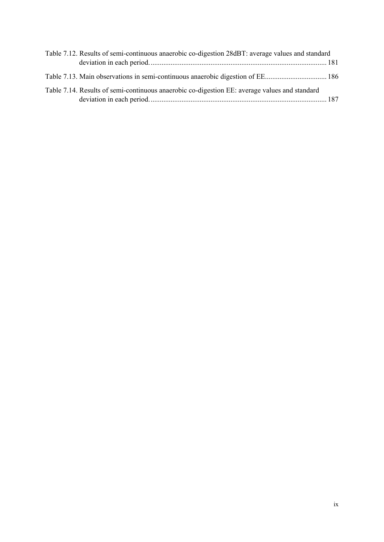| Table 7.12. Results of semi-continuous anaerobic co-digestion 28dBT: average values and standard |  |
|--------------------------------------------------------------------------------------------------|--|
|                                                                                                  |  |
|                                                                                                  |  |
| Table 7.14. Results of semi-continuous anaerobic co-digestion EE: average values and standard    |  |
|                                                                                                  |  |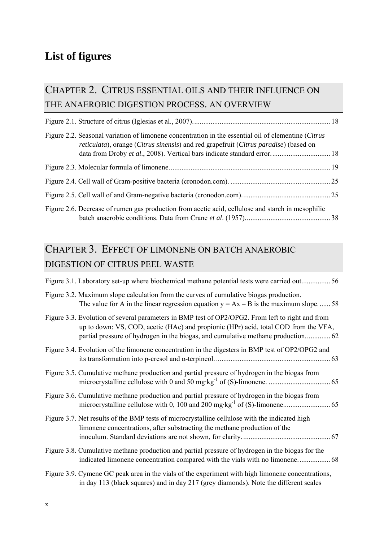### **List of figures**

#### CHAPTER 2. CITRUS ESSENTIAL OILS AND THEIR INFLUENCE ON THE ANAEROBIC DIGESTION PROCESS. AN OVERVIEW

| Figure 2.2. Seasonal variation of limonene concentration in the essential oil of clementine (Citrus<br><i>reticulata</i> ), orange <i>(Citrus sinensis)</i> and red grapefruit <i>(Citrus paradise)</i> (based on |  |
|-------------------------------------------------------------------------------------------------------------------------------------------------------------------------------------------------------------------|--|
|                                                                                                                                                                                                                   |  |
|                                                                                                                                                                                                                   |  |
|                                                                                                                                                                                                                   |  |
| Figure 2.6. Decrease of rumen gas production from acetic acid, cellulose and starch in mesophilic                                                                                                                 |  |

## CHAPTER 3. EFFECT OF LIMONENE ON BATCH ANAEROBIC DIGESTION OF CITRUS PEEL WASTE

| Figure 3.1. Laboratory set-up where biochemical methane potential tests were carried out 56                                                                                               |
|-------------------------------------------------------------------------------------------------------------------------------------------------------------------------------------------|
| Figure 3.2. Maximum slope calculation from the curves of cumulative biogas production.<br>The value for A in the linear regression equation $y = Ax - B$ is the maximum slope 58          |
| Figure 3.3. Evolution of several parameters in BMP test of OP2/OPG2. From left to right and from<br>up to down: VS, COD, acetic (HAc) and propionic (HPr) acid, total COD from the VFA,   |
| Figure 3.4. Evolution of the limonene concentration in the digesters in BMP test of OP2/OPG2 and                                                                                          |
| Figure 3.5. Cumulative methane production and partial pressure of hydrogen in the biogas from                                                                                             |
| Figure 3.6. Cumulative methane production and partial pressure of hydrogen in the biogas from                                                                                             |
| Figure 3.7. Net results of the BMP tests of microcrystalline cellulose with the indicated high<br>limonene concentrations, after substracting the methane production of the               |
| Figure 3.8. Cumulative methane production and partial pressure of hydrogen in the biogas for the                                                                                          |
| Figure 3.9. Cymene GC peak area in the vials of the experiment with high limonene concentrations,<br>in day 113 (black squares) and in day 217 (grey diamonds). Note the different scales |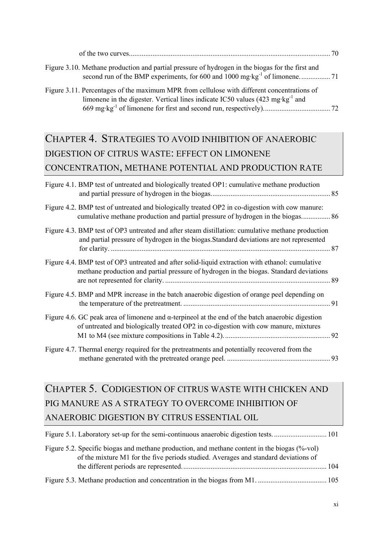| Figure 3.10. Methane production and partial pressure of hydrogen in the biogas for the first and          |  |
|-----------------------------------------------------------------------------------------------------------|--|
| Figure 3.11. Percentages of the maximum MPR from cellulose with different concentrations of               |  |
| limonene in the digester. Vertical lines indicate IC50 values $(423 \text{ mg} \cdot \text{kg}^{-1})$ and |  |
|                                                                                                           |  |

## CHAPTER 4. STRATEGIES TO AVOID INHIBITION OF ANAEROBIC DIGESTION OF CITRUS WASTE: EFFECT ON LIMONENE CONCENTRATION, METHANE POTENTIAL AND PRODUCTION RATE

| Figure 4.1. BMP test of untreated and biologically treated OP1: cumulative methane production                                                                                                   |  |
|-------------------------------------------------------------------------------------------------------------------------------------------------------------------------------------------------|--|
| Figure 4.2. BMP test of untreated and biologically treated OP2 in co-digestion with cow manure:<br>cumulative methane production and partial pressure of hydrogen in the biogas 86              |  |
| Figure 4.3. BMP test of OP3 untreated and after steam distillation: cumulative methane production<br>and partial pressure of hydrogen in the biogas. Standard deviations are not represented    |  |
| Figure 4.4. BMP test of OP3 untreated and after solid-liquid extraction with ethanol: cumulative<br>methane production and partial pressure of hydrogen in the biogas. Standard deviations      |  |
| Figure 4.5. BMP and MPR increase in the batch anaerobic digestion of orange peel depending on                                                                                                   |  |
| Figure 4.6. GC peak area of limonene and $\alpha$ -terpineol at the end of the batch anaerobic digestion<br>of untreated and biologically treated OP2 in co-digestion with cow manure, mixtures |  |
| Figure 4.7. Thermal energy required for the pretreatments and potentially recovered from the                                                                                                    |  |

## CHAPTER 5. CODIGESTION OF CITRUS WASTE WITH CHICKEN AND PIG MANURE AS A STRATEGY TO OVERCOME INHIBITION OF ANAEROBIC DIGESTION BY CITRUS ESSENTIAL OIL

| Figure 5.2. Specific biogas and methane production, and methane content in the biogas (%-vol)<br>of the mixture M1 for the five periods studied. Averages and standard deviations of |  |
|--------------------------------------------------------------------------------------------------------------------------------------------------------------------------------------|--|
|                                                                                                                                                                                      |  |
|                                                                                                                                                                                      |  |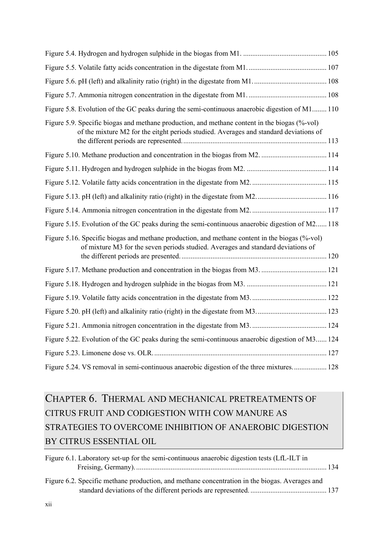| Figure 5.8. Evolution of the GC peaks during the semi-continuous anaerobic digestion of M1 110                                                                                         |  |
|----------------------------------------------------------------------------------------------------------------------------------------------------------------------------------------|--|
| Figure 5.9. Specific biogas and methane production, and methane content in the biogas (%-vol)<br>of the mixture M2 for the eitght periods studied. Averages and standard deviations of |  |
|                                                                                                                                                                                        |  |
|                                                                                                                                                                                        |  |
|                                                                                                                                                                                        |  |
|                                                                                                                                                                                        |  |
|                                                                                                                                                                                        |  |
| Figure 5.15. Evolution of the GC peaks during the semi-continuous anaerobic digestion of M2 118                                                                                        |  |
| Figure 5.16. Specific biogas and methane production, and methane content in the biogas (%-vol)<br>of mixture M3 for the seven periods studied. Averages and standard deviations of     |  |
|                                                                                                                                                                                        |  |
|                                                                                                                                                                                        |  |
|                                                                                                                                                                                        |  |
|                                                                                                                                                                                        |  |
|                                                                                                                                                                                        |  |
| Figure 5.22. Evolution of the GC peaks during the semi-continuous anaerobic digestion of M3 124                                                                                        |  |
|                                                                                                                                                                                        |  |
| Figure 5.24. VS removal in semi-continuous anaerobic digestion of the three mixtures 128                                                                                               |  |

## CHAPTER 6. THERMAL AND MECHANICAL PRETREATMENTS OF CITRUS FRUIT AND CODIGESTION WITH COW MANURE AS STRATEGIES TO OVERCOME INHIBITION OF ANAEROBIC DIGESTION BY CITRUS ESSENTIAL OIL

| Figure 6.1. Laboratory set-up for the semi-continuous anaerobic digestion tests (LfL-ILT in    |  |
|------------------------------------------------------------------------------------------------|--|
| Figure 6.2. Specific methane production, and methane concentration in the biogas. Averages and |  |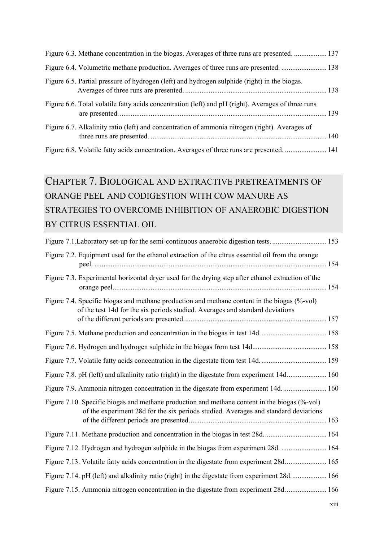| Figure 6.5. Partial pressure of hydrogen (left) and hydrogen sulphide (right) in the biogas.       |  |
|----------------------------------------------------------------------------------------------------|--|
| Figure 6.6. Total volatile fatty acids concentration (left) and pH (right). Averages of three runs |  |
| Figure 6.7. Alkalinity ratio (left) and concentration of ammonia nitrogen (right). Averages of     |  |
|                                                                                                    |  |

# CHAPTER 7. BIOLOGICAL AND EXTRACTIVE PRETREATMENTS OF ORANGE PEEL AND CODIGESTION WITH COW MANURE AS STRATEGIES TO OVERCOME INHIBITION OF ANAEROBIC DIGESTION BY CITRUS ESSENTIAL OIL

| Figure 7.2. Equipment used for the ethanol extraction of the citrus essential oil from the orange                                                                                    |  |
|--------------------------------------------------------------------------------------------------------------------------------------------------------------------------------------|--|
| Figure 7.3. Experimental horizontal dryer used for the drying step after ethanol extraction of the                                                                                   |  |
| Figure 7.4. Specific biogas and methane production and methane content in the biogas (%-vol)<br>of the test 14d for the six periods studied. Averages and standard deviations        |  |
|                                                                                                                                                                                      |  |
|                                                                                                                                                                                      |  |
|                                                                                                                                                                                      |  |
| Figure 7.8. pH (left) and alkalinity ratio (right) in the digestate from experiment 14d 160                                                                                          |  |
| Figure 7.9. Ammonia nitrogen concentration in the digestate from experiment 14d 160                                                                                                  |  |
| Figure 7.10. Specific biogas and methane production and methane content in the biogas (%-vol)<br>of the experiment 28d for the six periods studied. Averages and standard deviations |  |
|                                                                                                                                                                                      |  |
|                                                                                                                                                                                      |  |
| Figure 7.12. Hydrogen and hydrogen sulphide in the biogas from experiment 28d.  164                                                                                                  |  |
| Figure 7.13. Volatile fatty acids concentration in the digestate from experiment 28d 165                                                                                             |  |
| Figure 7.14. pH (left) and alkalinity ratio (right) in the digestate from experiment 28d 166                                                                                         |  |
| Figure 7.15. Ammonia nitrogen concentration in the digestate from experiment 28d 166                                                                                                 |  |